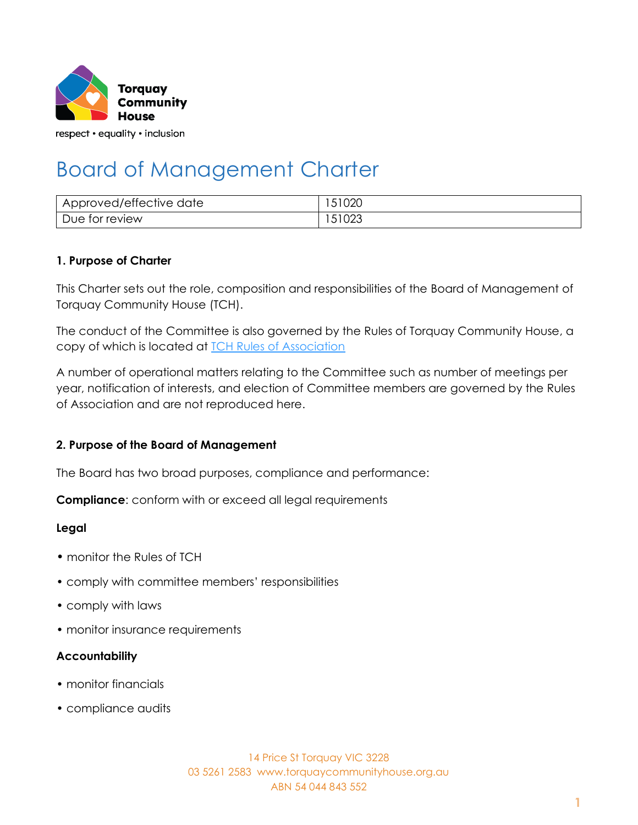

# Board of Management Charter

| Approved/effective date | 51020  |
|-------------------------|--------|
| Due for review          | 151023 |

#### **1. Purpose of Charter**

This Charter sets out the role, composition and responsibilities of the Board of Management of Torquay Community House (TCH).

The conduct of the Committee is also governed by the Rules of Torquay Community House, a copy of which is located at **TCH Rules of Association** 

A number of operational matters relating to the Committee such as number of meetings per year, notification of interests, and election of Committee members are governed by the Rules of Association and are not reproduced here.

#### **2. Purpose of the Board of Management**

The Board has two broad purposes, compliance and performance:

**Compliance**: conform with or exceed all legal requirements

#### **Legal**

- monitor the Rules of TCH
- comply with committee members' responsibilities
- comply with laws
- monitor insurance requirements

#### **Accountability**

- monitor financials
- compliance audits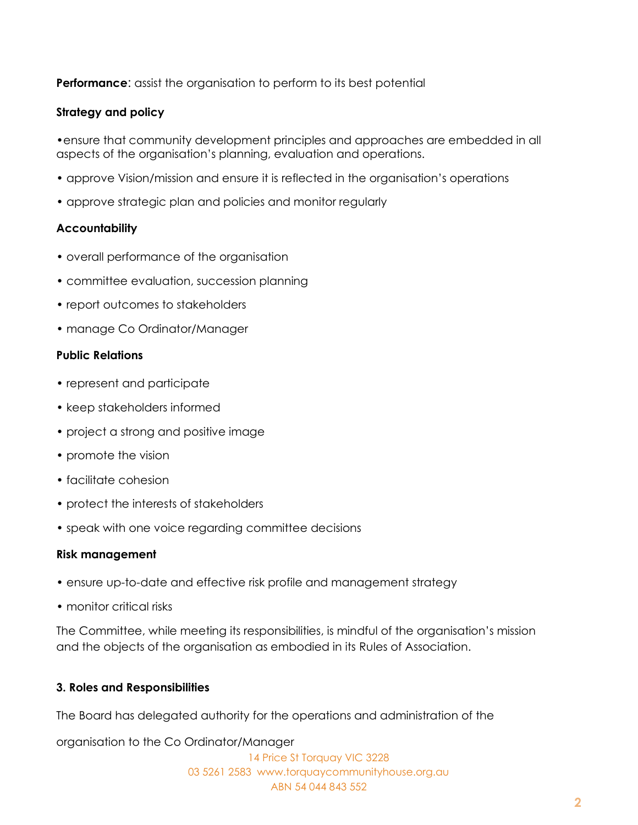**Performance:** assist the organisation to perform to its best potential

#### **Strategy and policy**

•ensure that community development principles and approaches are embedded in all aspects of the organisation's planning, evaluation and operations.

- approve Vision/mission and ensure it is reflected in the organisation's operations
- approve strategic plan and policies and monitor regularly

#### **Accountability**

- overall performance of the organisation
- committee evaluation, succession planning
- report outcomes to stakeholders
- manage Co Ordinator/Manager

#### **Public Relations**

- represent and participate
- keep stakeholders informed
- project a strong and positive image
- promote the vision
- facilitate cohesion
- protect the interests of stakeholders
- speak with one voice regarding committee decisions

#### **Risk management**

- ensure up-to-date and effective risk profile and management strategy
- monitor critical risks

The Committee, while meeting its responsibilities, is mindful of the organisation's mission and the objects of the organisation as embodied in its Rules of Association.

#### **3. Roles and Responsibilities**

The Board has delegated authority for the operations and administration of the

organisation to the Co Ordinator/Manager

14 Price St Torquay VIC 3228 03 5261 2583 www.torquaycommunityhouse.org.au ABN 54 044 843 552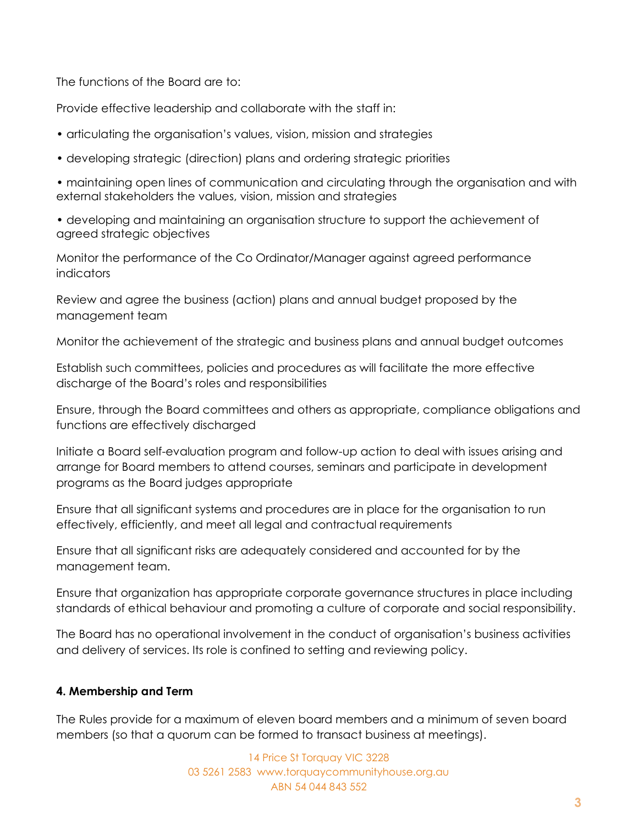The functions of the Board are to:

Provide effective leadership and collaborate with the staff in:

- articulating the organisation's values, vision, mission and strategies
- developing strategic (direction) plans and ordering strategic priorities

• maintaining open lines of communication and circulating through the organisation and with external stakeholders the values, vision, mission and strategies

• developing and maintaining an organisation structure to support the achievement of agreed strategic objectives

Monitor the performance of the Co Ordinator/Manager against agreed performance **indicators** 

Review and agree the business (action) plans and annual budget proposed by the management team

Monitor the achievement of the strategic and business plans and annual budget outcomes

Establish such committees, policies and procedures as will facilitate the more effective discharge of the Board's roles and responsibilities

Ensure, through the Board committees and others as appropriate, compliance obligations and functions are effectively discharged

Initiate a Board self-evaluation program and follow-up action to deal with issues arising and arrange for Board members to attend courses, seminars and participate in development programs as the Board judges appropriate

Ensure that all significant systems and procedures are in place for the organisation to run effectively, efficiently, and meet all legal and contractual requirements

Ensure that all significant risks are adequately considered and accounted for by the management team.

Ensure that organization has appropriate corporate governance structures in place including standards of ethical behaviour and promoting a culture of corporate and social responsibility.

The Board has no operational involvement in the conduct of organisation's business activities and delivery of services. Its role is confined to setting and reviewing policy.

#### **4. Membership and Term**

The Rules provide for a maximum of eleven board members and a minimum of seven board members (so that a quorum can be formed to transact business at meetings).

> 14 Price St Torquay VIC 3228 03 5261 2583 www.torquaycommunityhouse.org.au ABN 54 044 843 552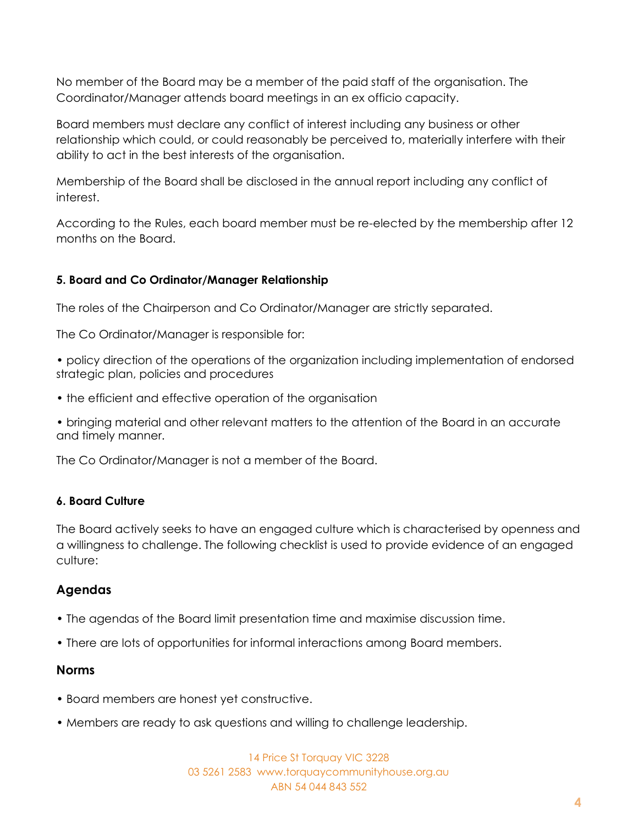No member of the Board may be a member of the paid staff of the organisation. The Coordinator/Manager attends board meetings in an ex officio capacity.

Board members must declare any conflict of interest including any business or other relationship which could, or could reasonably be perceived to, materially interfere with their ability to act in the best interests of the organisation.

Membership of the Board shall be disclosed in the annual report including any conflict of interest.

According to the Rules, each board member must be re-elected by the membership after 12 months on the Board.

# **5. Board and Co Ordinator/Manager Relationship**

The roles of the Chairperson and Co Ordinator/Manager are strictly separated.

The Co Ordinator/Manager is responsible for:

- policy direction of the operations of the organization including implementation of endorsed strategic plan, policies and procedures
- the efficient and effective operation of the organisation

• bringing material and other relevant matters to the attention of the Board in an accurate and timely manner.

The Co Ordinator/Manager is not a member of the Board.

# **6. Board Culture**

The Board actively seeks to have an engaged culture which is characterised by openness and a willingness to challenge. The following checklist is used to provide evidence of an engaged culture:

# **Agendas**

- The agendas of the Board limit presentation time and maximise discussion time.
- There are lots of opportunities for informal interactions among Board members.

# **Norms**

- Board members are honest yet constructive.
- Members are ready to ask questions and willing to challenge leadership.

14 Price St Torquay VIC 3228 03 5261 2583 www.torquaycommunityhouse.org.au ABN 54 044 843 552